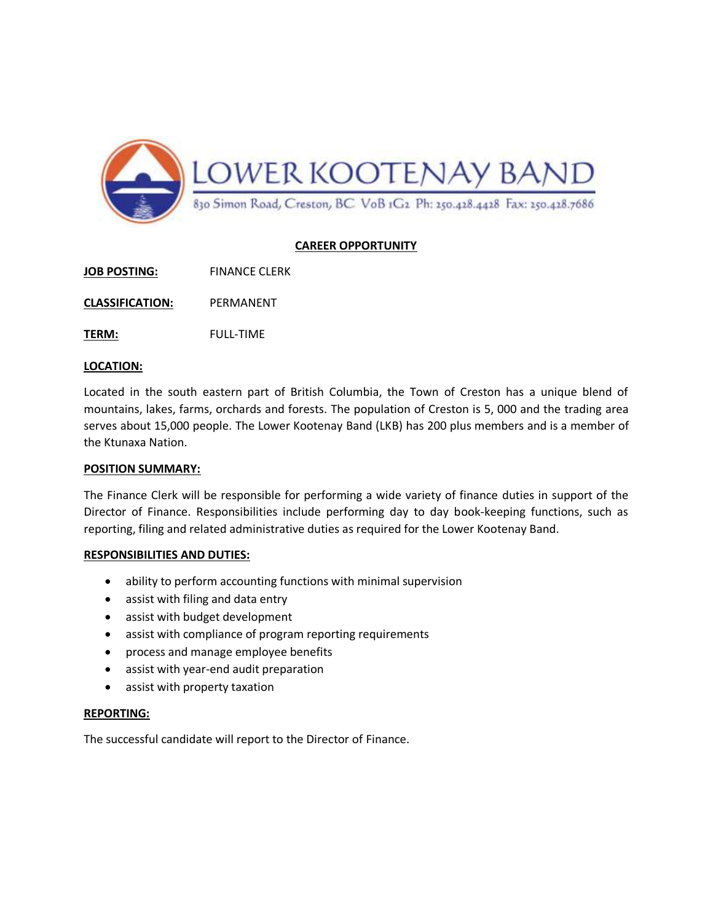

# **CAREER OPPORTUNITY**

**JOB POSTING:** FINANCE CLERK

**CLASSIFICATION:** PERMANENT

**TERM:** FULL-TIME

#### **LOCATION:**

Located in the south eastern part of British Columbia, the Town of Creston has a unique blend of mountains, lakes, farms, orchards and forests. The population of Creston is 5, 000 and the trading area serves about 15,000 people. The Lower Kootenay Band (LKB) has 200 plus members and is a member of the Ktunaxa Nation.

#### **POSITION SUMMARY:**

The Finance Clerk will be responsible for performing a wide variety of finance duties in support of the Director of Finance. Responsibilities include performing day to day book-keeping functions, such as reporting, filing and related administrative duties as required for the Lower Kootenay Band.

## **RESPONSIBILITIES AND DUTIES:**

- ability to perform accounting functions with minimal supervision
- assist with filing and data entry
- assist with budget development
- assist with compliance of program reporting requirements
- process and manage employee benefits
- assist with year-end audit preparation
- assist with property taxation

## **REPORTING:**

The successful candidate will report to the Director of Finance.